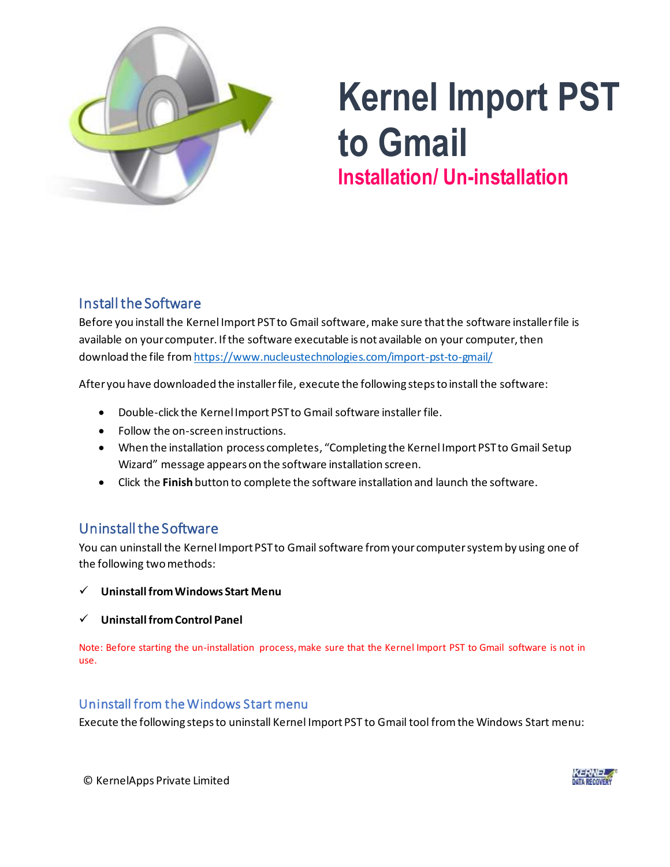

# **Kernel Import PST to Gmail Installation/ Un-installation**

## Install the Software

Before you install the Kernel Import PST to Gmail software, make sure that the software installer file is available on your computer. If the software executable is not available on your computer, then download the file fro[m https://www.nucleustechnologies.com/import-pst-to-gmail/](https://www.nucleustechnologies.com/import-pst-to-gmail/)

After you have downloaded the installer file, execute the following steps to install the software:

- Double-click the Kernel Import PST to Gmail software installer file.
- Follow the on-screen instructions.
- When the installation process completes, "Completing the Kernel Import PST to Gmail Setup Wizard" message appears on the software installation screen.
- Click the **Finish** button to complete the software installation and launch the software.

## Uninstall the Software

You can uninstall the Kernel Import PST to Gmail software from your computer system by using one of the following two methods:

- ✓ **Uninstall from Windows Start Menu**
- ✓ **Uninstall from Control Panel**

Note: Before starting the un-installation process, make sure that the Kernel Import PST to Gmail software is not in use.

### Uninstall from the Windows Start menu

Execute the following steps to uninstall Kernel Import PST to Gmail tool from the Windows Start menu:

© KernelApps Private Limited